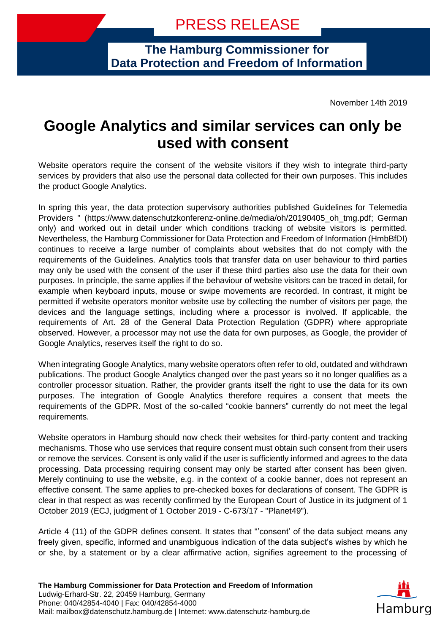**The Hamburg Commissioner for Data Protection and Freedom of Information**

November 14th 2019

## **Google Analytics and similar services can only be used with consent**

Website operators require the consent of the website visitors if they wish to integrate third-party services by providers that also use the personal data collected for their own purposes. This includes the product Google Analytics.

In spring this year, the data protection supervisory authorities published Guidelines for Telemedia Providers " (https://www.datenschutzkonferenz-online.de/media/oh/20190405\_oh\_tmg.pdf; German only) and worked out in detail under which conditions tracking of website visitors is permitted. Nevertheless, the Hamburg Commissioner for Data Protection and Freedom of Information (HmbBfDI) continues to receive a large number of complaints about websites that do not comply with the requirements of the Guidelines. Analytics tools that transfer data on user behaviour to third parties may only be used with the consent of the user if these third parties also use the data for their own purposes. In principle, the same applies if the behaviour of website visitors can be traced in detail, for example when keyboard inputs, mouse or swipe movements are recorded. In contrast, it might be permitted if website operators monitor website use by collecting the number of visitors per page, the devices and the language settings, including where a processor is involved. If applicable, the requirements of Art. 28 of the General Data Protection Regulation (GDPR) where appropriate observed. However, a processor may not use the data for own purposes, as Google, the provider of Google Analytics, reserves itself the right to do so.

When integrating Google Analytics, many website operators often refer to old, outdated and withdrawn publications. The product Google Analytics changed over the past years so it no longer qualifies as a controller processor situation. Rather, the provider grants itself the right to use the data for its own purposes. The integration of Google Analytics therefore requires a consent that meets the requirements of the GDPR. Most of the so-called "cookie banners" currently do not meet the legal requirements.

Website operators in Hamburg should now check their websites for third-party content and tracking mechanisms. Those who use services that require consent must obtain such consent from their users or remove the services. Consent is only valid if the user is sufficiently informed and agrees to the data processing. Data processing requiring consent may only be started after consent has been given. Merely continuing to use the website, e.g. in the context of a cookie banner, does not represent an effective consent. The same applies to pre-checked boxes for declarations of consent. The GDPR is clear in that respect as was recently confirmed by the European Court of Justice in its judgment of 1 October 2019 (ECJ, judgment of 1 October 2019 - C-673/17 - "Planet49").

Article 4 (11) of the GDPR defines consent. It states that "'consent' of the data subject means any freely given, specific, informed and unambiguous indication of the data subject's wishes by which he or she, by a statement or by a clear affirmative action, signifies agreement to the processing of